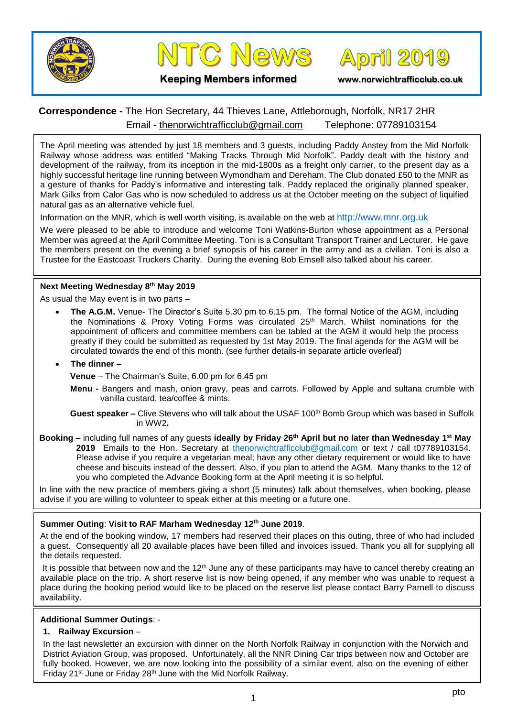



**April 2019** 

**Keeping Members informed www.norwichtrafficclub.co.uk**

# **Correspondence -** The Hon Secretary, 44 Thieves Lane, Attleborough, Norfolk, NR17 2HR Email - [thenorwichtrafficclub@gmail.com](mailto:thenorwichtrafficclub@gmail.com) Telephone: 07789103154

The April meeting was attended by just 18 members and 3 guests, including Paddy Anstey from the Mid Norfolk Railway whose address was entitled "Making Tracks Through Mid Norfolk". Paddy dealt with the history and development of the railway, from its inception in the mid-1800s as a freight only carrier, to the present day as a highly successful heritage line running between Wymondham and Dereham. The Club donated £50 to the MNR as a gesture of thanks for Paddy's informative and interesting talk. Paddy replaced the originally planned speaker, Mark Gilks from Calor Gas who is now scheduled to address us at the October meeting on the subject of liquified natural gas as an alternative vehicle fuel.

Information on the MNR, which is well worth visiting, is available on the web at [http://www.mnr.org.uk](http://www.mnr.org.uk/)

We were pleased to be able to introduce and welcome Toni Watkins-Burton whose appointment as a Personal Member was agreed at the April Committee Meeting. Toni is a Consultant Transport Trainer and Lecturer. He gave the members present on the evening a brief synopsis of his career in the army and as a civilian. Toni is also a Trustee for the Eastcoast Truckers Charity. During the evening Bob Emsell also talked about his career.

## **Next Meeting Wednesday 8 th May 2019**

As usual the May event is in two parts –

• **The A.G.M.** Venue- The Director's Suite 5.30 pm to 6.15 pm. The formal Notice of the AGM, including the Nominations & Proxy Voting Forms was circulated 25<sup>th</sup> March. Whilst nominations for the appointment of officers and committee members can be tabled at the AGM it would help the process greatly if they could be submitted as requested by 1st May 2019. The final agenda for the AGM will be circulated towards the end of this month. (see further details-in separate article overleaf)

#### • **The dinner –**

**Venue** – The Chairman's Suite, 6.00 pm for 6.45 pm

**Menu -** Bangers and mash, onion gravy, peas and carrots. Followed by Apple and sultana crumble with vanilla custard, tea/coffee & mints.

**Guest speaker –** Clive Stevens who will talk about the USAF 100<sup>th</sup> Bomb Group which was based in Suffolk in WW2**.**

**Booking –** including full names of any guests **ideally by Friday 26 th April but no later than Wednesday 1 st May 2019** Emails to the Hon. Secretary at [thenorwichtrafficclub@gmail.com](mailto:thenorwichtrafficclub@gmail.com) or text / call t07789103154. Please advise if you require a vegetarian meal; have any other dietary requirement or would like to have cheese and biscuits instead of the dessert. Also, if you plan to attend the AGM. Many thanks to the 12 of you who completed the Advance Booking form at the April meeting it is so helpful.

In line with the new practice of members giving a short (5 minutes) talk about themselves, when booking, please advise if you are willing to volunteer to speak either at this meeting or a future one.

# **Summer Outing**: **Visit to RAF Marham Wednesday 12th June 2019**.

At the end of the booking window, 17 members had reserved their places on this outing, three of who had included a guest. Consequently all 20 available places have been filled and invoices issued. Thank you all for supplying all the details requested.

It is possible that between now and the 12<sup>th</sup> June any of these participants may have to cancel thereby creating an available place on the trip. A short reserve list is now being opened, if any member who was unable to request a place during the booking period would like to be placed on the reserve list please contact Barry Parnell to discuss availability.

### **Additional Summer Outings**: -

#### **1. Railway Excursion** –

In the last newsletter an excursion with dinner on the North Norfolk Railway in conjunction with the Norwich and District Aviation Group, was proposed. Unfortunately, all the NNR Dining Car trips between now and October are fully booked. However, we are now looking into the possibility of a similar event, also on the evening of either Friday 21<sup>st</sup> June or Friday 28<sup>th</sup> June with the Mid Norfolk Railway.